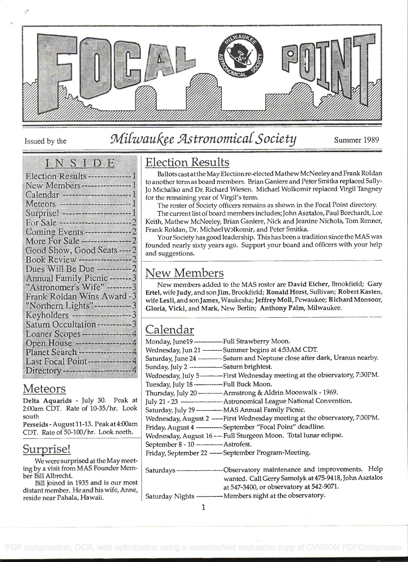

# Issued by the Milwaukee Astronomical Society Summer 1989

#### In the second second second second second second second second second second second second second second second

| Election Results --------------------                          |
|----------------------------------------------------------------|
| New Members-------------------                                 |
| Calendar ---------------------------                           |
|                                                                |
|                                                                |
|                                                                |
|                                                                |
|                                                                |
| Good Show, Good Seats --- 2                                    |
|                                                                |
| Dues Will Be Due ---------- 2<br>Annual Family Pienic -------2 |
| "Astronomer's Wife" ---------                                  |
| Frank Roldan Wins Award -                                      |
| Northern Lights (2002)                                         |
| Keyholders ----------------                                    |
| Saturn Occultation ------------                                |
| Loaner Scopes -------------------                              |
| Open House -----------------                                   |
| Planet Search --------------------                             |
| Last Focal Point-------------                                  |
|                                                                |
|                                                                |

### Meteors

Delta Aquarids - July 30. Peak at 2:00am CDT. Rate of 10-35/hr. Look south

Perseids - August 11-13. Peak at 4:00am CDT. Rate of 50-100/hr. Look north.

#### Surprise!

We were surprised at the May meeting by a visit from MAS Founder Member Bill Albrecht.

Bill joined in 1935 and is our most distant member. He and his wife, Anne, reside near Pahala, Hawaii.

### Election Results

Ballots cast at the May Electionre-elected Mathew McNeeley and Frank Roldan to another term as board members. Brian Ganiere and Peter Smitka replaced Sally-Jo Michalko and Dr. Richard Wiesen. Michael Wolkomir replaced Virgil Tangney for the remaining year of Virgil's term.

The roster of Society officers remains as shown in the Focal Point directory.

The current list of board members includes; John Asztalos, Paul Borchardt, Lee Keith, Mathew McNeeley, Brian Ganiere, Nick and Jeanine Nichols, Tom Renner, Frank Roldan, Dr. Michael Wolkomir, and Peter Smitka.

Your Society has good leadership. This has been a tradition since the MAS was founded nearly sixty years ago. Support your board and officers with your help and suggestions.

#### New Members

New members added to the MAS roster are David Eicher, Brookfield; Gary Ertel, wife Judy, and son Jim, Brookfield; Ronald Horst, Sullivan; Robert Kasten, wife Lesli, and sonjames, Waukesha; Jeffrey Moli, Pewaukee; Richard Monsoor, Gloria, Vicki, and Mark, New Berlin; Anthony Palm, Milwaukee.

## Calendar

| Monday, June19 -------------Full Strawberry Moon.                                 |
|-----------------------------------------------------------------------------------|
| Wednesday, Jun 21 --------Summer begins at 4:53AM CDT.                            |
| Saturday, June 24 ----------- Saturn and Neptune close after dark, Uranus nearby. |
| Sunday, July 2 ---------------Saturn brightest.                                   |
| Wednesday, July 5 ----------First Wednesday meeting at the observatory, 7:30PM.   |
| Tuesday, July 18 ------------Full Buck Moon.                                      |
| Thursday, July 20 ---------- Armstrong & Aldrin Moonwalk - 1969.                  |
| July 21 - 23 -------------------- Astronomical League National Convention.        |
| Saturday, July 29 ------------ MAS Annual Family Picnic.                          |
| Wednesday, August 2 ----- First Wednesday meeting at the observatory, 7:30PM.     |
| Friday, August 4 ------------September "Focal Point" deadline.                    |
| Wednesday, August 16 ---- Full Sturgeon Moon. Total lunar eclipse.                |
| September 8 - 10 ------------ Astrofest.                                          |
| Friday, September 22 ------ September Program-Meeting.                            |
|                                                                                   |
| Saturdays--------------------------Observatory maintenance and improvements. Help |
| wanted. Call Gerry Samolyk at 475-9418, John Asztalos                             |
| at 547-3400, or observatory at 542-9071.                                          |

Saturday Nights ------------- Members night at the observatory.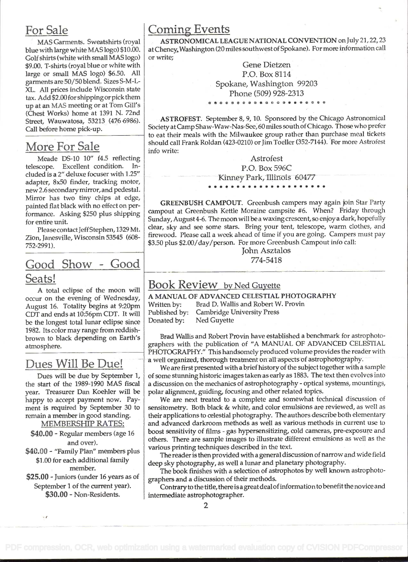### For Sale

MAS Garments. Sweatshirts (royal blue with large white MAS logo) \$10.00. Golf shirts (white with small MAS logo) \$9.00. T-shirts (royal blue or white with large or small MAS logo) \$6.50. All garments are 50/50 blend. Sizes S-M-L-XL. All prices include Wisconsin state tax. Add \$2.00for shippingor pick them up at an MAS meeting or at Tom Gill's (Chest Works) home at 1391 N. 72nd Street, Wauwatosa, 53213 (476 6986). Call before home pick-up.

### More For Sale

Meade DS-10 10" f4.5 reflecting telescope. Excellent condition. Included is a 2" deluxe focuser with 1.25" adapter, 8x50 finder, tracking motor, new 2.6 secondarymirror, and pedestal. Mirror has two tiny chips at edge, painted flat black with no effect on performance. Asking \$250 plus shipping for entire unit.

Please contact Jeff Stephen, 1329 Mt. Zion, Janesville, Wisconsin 53545 (608- 752-2991).

### Good Show - Good Seats!

A total eclipse of the moon will occur on the evening of Wednesday,  $\begin{array}{c|c} \textbf{A} \textbf{MANUA} \\ \textbf{A} \textbf{nonst} \textbf{16} & \textbf{Totality begins at } 9:20 \text{pm} \end{array}$  Written by: August 16. Totality begins at 9:20pm Written by:<br>CDT and ends at 10:56pm CDT. It will Published by: CDT and ends at 10:56pm CDT. It will Published by<br>be the longest total lunar eclipse since Donated by: be the longest total lunar eclipse since 1982. Its color may range from reddishbrown to black depending on Earth's atmosphere.

### Dues Will Be Due!

Dues will be due by September 1, the start of the 1989-1990 MAS fiscal year. Treasurer Dan Koehler will be happy to accept payment now. Payment is required by September 30 to remain a member in good standing.

MEMBERSHIP RATES:

\$40.00 - Regular members (age 16 and over).

\$40.00 - "Family Plan" members plus \$1 .00 for each additional family member.

\$25.00 - Juniors (under 16 years as of September 1 of the current year). \$30.00 - Non-Residents.

 $48$ 

### Coming Events

ASTRONOMICAL LEAGUE NATIONAL CONVENTION on July 21,22,23 at Cheney, Washington (20 miles southwest of Spokane). For more information call or write;

> Gene Dietzen P.O. Box 8114 Spokane, Washington 99203 Phone (509) 928-2313 . ...... s.. s. .. s... s.

ASTROFEST. September 8, 9, 10. Sponsored by the Chicago Astronomical Society at Camp Shaw-Waw-Nas-See, 60 miles south of Chicago. Those who prefer to eat their meals with the Milwaukee group rather than purchase meal tickets should call Frank Roldan (423-0210) or Jim Toeller (352-7144). For more Astrofest info write:

> **Astrofest** P.O. Box 596C Kinney Park, Illinois 60477

GREENBUSH CAMPOUT. Greenbush campers may again join Star Party campout at Greenbush Kettle Moraine campsite #6. When? Friday through Sunday, August 4-6. The moon will be a waxing crescent, so enjoy a dark, hopefully clear, sky and see some stars. Bring your tent, telescope, warm clothes, and firewood. Please call a week ahead of time if you are going. Campers must pay \$3.50 plus \$2.00/day/person. For more Greenbush Campout info call:

> John Asztalos 774-5418

#### Book Review by Ned Guvette

A MANUAL OF ADVANCED CELESTIAL PHOTOGRAPHY Brad D. Wallis and Robert W. Provin **Cambridge University Press** Ned Guyette

Brad Wallis and Robert Provin have established a benchmark for astrophotographers with the publication of "A MANUAL OF ADVANCED CELESTIAL PHOTOGRAPHY." This handsomely produced volume provides the reader with a well organized, thorough treatment on all aspectsof astrophotography.

We are first presented with a brief history of the subject together with a sample of some stunning historic images taken as early as 1883. The text then evolves into a discussion on the mechanics of astrophotography - optical systems, mountings, polar alignment, guiding, focusing and other related topics.

We are next treated to a complete and somewhat echnical discussion of sensitometry. Both black & white, and color emulsions are reviewed, as well as their applications to celestial photography. The authors describe both elementary and advanced darkroom methods as well as various methods in current use to boost sensitivity of films - gas hypersensitizing, cold cameras, pre-exposure and others. There are sample images to illustrate different emulsions as well as the various printing techniques described in the text.

The reader is then provided with a general discussion of narrow and wide field deep sky photography, as well a lunar and planetary photography.

The book finishes with a selection of astrophotos by well known astrophotographers and a discussion of their methods.

Contrary to the title, there is a great dealofinformation to benefit the novice and intermediate astrophotographer.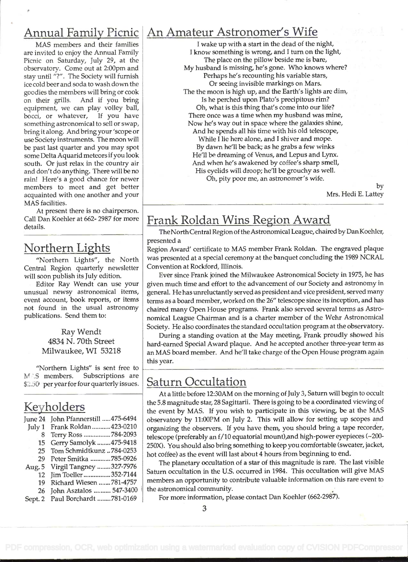#### Annual Family Picnic An Amateur Astronomer's Wife

MAS members and their families are invited to enjoy the Annual Family Picnic on Saturday, July 29. at the observatory. Come out at 2:00pm and stay until "?" . The Society will furnish ice cold beer and soda to wash down the goodies the members will bring or cook on their grills. And if you bring equipment, we can play volley ball, bocci, or whatever, If you have something astronomical to sell or swap, bring it along. And bring your 'scope or use Society instruments. The moon will be past last quarter and you may spot some Delta Aquarid meteors if you look south. Or just relax in the country air and don't do anything. There will be no rain! Here's a good chance for newer members to meet and get better acquainted with one another and your MAS facilities.

At present there is no chairperson. Call Dan Koehler at 662- 2987 for more details.

#### Northern Lights

"Northern Lights", the North Central Region quarterly newsletter will soon publish its July edition.

Editor Ray Wendt can use your unusual newsy astronomical items, event account, book reports, or items not found in the usual astronomy publications. Send them to:

> Ray Wendt 4834 N. 70th Street Milwaukee, WI 53218

"Northern Lights" is sent free to M S members. Subscriptions are \$2.50 per year for four quarterly issues.

### Keyholders

|    | June 24 John Pfannerstill  475-6494 | ob  |
|----|-------------------------------------|-----|
|    | July 1 Frank Roldan  423-0210       | or  |
| 8  | Terry Ross 784-2093                 | tel |
| 15 | Gerry Samolyk 475-9418              | 25  |
| 25 | Tom Schmidtkunz  784-0253           | ho  |
| 29 | Peter Smitka 785-0926               |     |
|    | Aug. 5 Virgil Tangney 327-7976      |     |
|    | 12 Jim Toeller 352-7144             | Sa  |
| 19 | Richard Wiesen 781-4757             | m   |
| 26 | John Asztalos  547-3400             | th  |
|    | Sept. 2 Paul Borchardt 781-0169     |     |

I wake up with a start in the dead of the night, <sup>I</sup>know something is wrong, and I turn on the light, The place on the pillow beside me is bare, My husband is missing, he's gone. Who knows where? Perhaps he's recounting his variable stars, Or seeing invisible markings on Mars. The the moon is high up, and the Earth's lights are dim, Is he perched upon Plato's precipitous rim? Oh, what is this thing that's come into our life? There once was a time when my husband was mine, Now he's way out in space where the galaxies shine, And he spends all his time with his old telescope, While I lie here alone, and I shiver and mope. By dawn he'll be back; as he grabs a few winks He'll be dreaming of Venus, and Lepus and Lynx. And when he's awakened by coffee's sharp smell, His eyelids will droop; he'll be grouchy as well. Oh, pity poor me, an astronomer's wife.

> by Mrs. Hedi E. Lattey

### Frank Roldan Wins Region Award

The North Central Region of the Astronomical League, chaired by Dan Koehler, presented a

Region Award' certificate to MAS member Frank Roldan. The engraved plaque was presented at a special ceremony at the banquet concluding the 1989 NCRAL Convention at Rockford, Illinois.

Ever since Frank joined the Milwaukee Astronomical Society in 1975, he has given much time and effort to the advancement of our Society and astronomy in general. He has unreluctantly served as president and vice president, served many terms as a board member, worked on the 26" telescope since its inception, and has chaired many Open House programs. Frank also served several terms as Astronomical League Chairman and is a charter member of the Wehr Astronomical Society. He also coordinates the standard occultation program at the observatory.

During a standing ovation at the May meeting, Frank proudly showed his hard-earned Special Award plaque. And he accepted another three-year term as an MAS board member. And he'll take charge of the Open House program again this year.

#### Saturn Occultation

At a little before 12:30AM on the morning of July 3, Saturn will begin to occult the 5.8 magnitude star, 28 Sagittarii. There is going to be a coordinated viewing of the event by MAS. If you wish to participate in this viewing, be at the MAS observatory by 11:00PM on July 2. This will allow for setting up scopes and organizing the observers. If you have them, you should bring a tape recorder, telescope (preferably an f/10 equatorial mount),and high-power eyepieces (~200-250X). You should also bring something to keep you comfortable (sweater, jacket, hot coffee) as the event will last about 4 hours from beginning to end.

The planetary occultation of a star of this magnitude is rare. The last visible Saturn occultation in the U.S. occurred in 1984. This occultation will give MAS members an opportunity to contribute valuable information on this rare event to the astronomical community.

For more information, please contact Dan Koehier (662-2987).